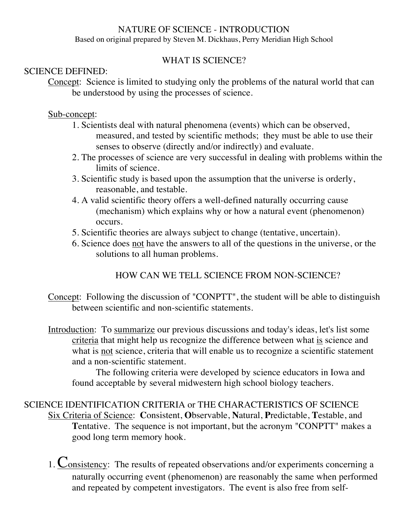### NATURE OF SCIENCE - INTRODUCTION

Based on original prepared by Steven M. Dickhaus, Perry Meridian High School

## WHAT IS SCIENCE?

### SCIENCE DEFINED:

Concept: Science is limited to studying only the problems of the natural world that can be understood by using the processes of science.

### Sub-concept:

- 1. Scientists deal with natural phenomena (events) which can be observed, measured, and tested by scientific methods; they must be able to use their senses to observe (directly and/or indirectly) and evaluate.
- 2. The processes of science are very successful in dealing with problems within the limits of science.
- 3. Scientific study is based upon the assumption that the universe is orderly, reasonable, and testable.
- 4. A valid scientific theory offers a well-defined naturally occurring cause (mechanism) which explains why or how a natural event (phenomenon) occurs.
- 5. Scientific theories are always subject to change (tentative, uncertain).
- 6. Science does not have the answers to all of the questions in the universe, or the solutions to all human problems.

# HOW CAN WE TELL SCIENCE FROM NON-SCIENCE?

Concept: Following the discussion of "CONPTT", the student will be able to distinguish between scientific and non-scientific statements.

Introduction: To summarize our previous discussions and today's ideas, let's list some criteria that might help us recognize the difference between what is science and what is not science, criteria that will enable us to recognize a scientific statement and a non-scientific statement.

The following criteria were developed by science educators in Iowa and found acceptable by several midwestern high school biology teachers.

### SCIENCE IDENTIFICATION CRITERIA or THE CHARACTERISTICS OF SCIENCE Six Criteria of Science: **C**onsistent, **O**bservable, **N**atural, **P**redictable, **T**estable, and **Tentative.** The sequence is not important, but the acronym "CONPTT" makes a good long term memory hook.

1. Consistency: The results of repeated observations and/or experiments concerning a naturally occurring event (phenomenon) are reasonably the same when performed and repeated by competent investigators. The event is also free from self-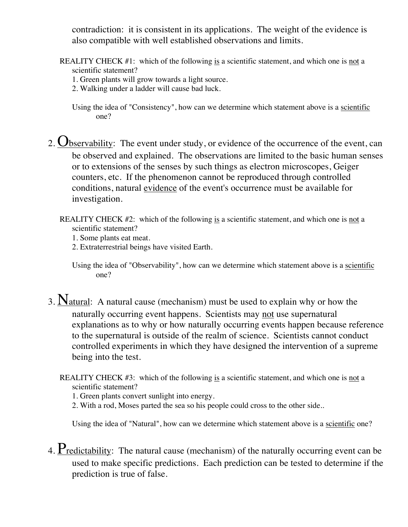contradiction: it is consistent in its applications. The weight of the evidence is also compatible with well established observations and limits.

- REALITY CHECK #1: which of the following is a scientific statement, and which one is not a scientific statement?
	- 1. Green plants will grow towards a light source.
	- 2. Walking under a ladder will cause bad luck.
	- Using the idea of "Consistency", how can we determine which statement above is a scientific one?
- 2.  $\mathbf{Q}_{\text{bservability}}$ : The event under study, or evidence of the occurrence of the event, can be observed and explained. The observations are limited to the basic human senses or to extensions of the senses by such things as electron microscopes, Geiger counters, etc. If the phenomenon cannot be reproduced through controlled conditions, natural evidence of the event's occurrence must be available for investigation.
	- REALITY CHECK #2: which of the following is a scientific statement, and which one is not a scientific statement?
		- 1. Some plants eat meat.
		- 2. Extraterrestrial beings have visited Earth.
		- Using the idea of "Observability", how can we determine which statement above is a scientific one?
- 3. Natural: A natural cause (mechanism) must be used to explain why or how the naturally occurring event happens. Scientists may not use supernatural explanations as to why or how naturally occurring events happen because reference to the supernatural is outside of the realm of science. Scientists cannot conduct controlled experiments in which they have designed the intervention of a supreme being into the test.
	- REALITY CHECK #3: which of the following is a scientific statement, and which one is not a scientific statement?
		- 1. Green plants convert sunlight into energy.
		- 2. With a rod, Moses parted the sea so his people could cross to the other side..

Using the idea of "Natural", how can we determine which statement above is a scientific one?

4. Predictability: The natural cause (mechanism) of the naturally occurring event can be used to make specific predictions. Each prediction can be tested to determine if the prediction is true of false.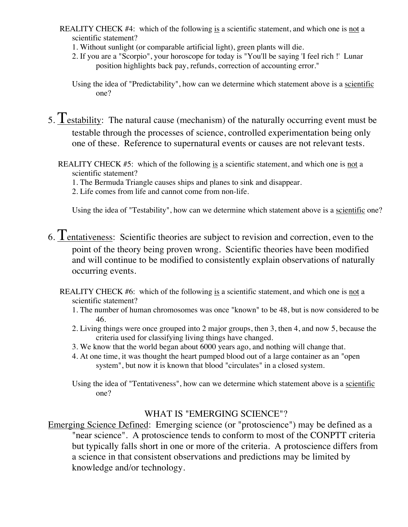- REALITY CHECK #4: which of the following is a scientific statement, and which one is not a scientific statement?
	- 1. Without sunlight (or comparable artificial light), green plants will die.
	- 2. If you are a "Scorpio", your horoscope for today is "You'll be saying 'I feel rich !' Lunar position highlights back pay, refunds, correction of accounting error."

Using the idea of "Predictability", how can we determine which statement above is a scientific one?

- 5. Testability: The natural cause (mechanism) of the naturally occurring event must be testable through the processes of science, controlled experimentation being only one of these. Reference to supernatural events or causes are not relevant tests.
	- REALITY CHECK #5: which of the following is a scientific statement, and which one is not a scientific statement?
		- 1. The Bermuda Triangle causes ships and planes to sink and disappear.
		- 2. Life comes from life and cannot come from non-life.

Using the idea of "Testability", how can we determine which statement above is a scientific one?

- 6.  $T_{entatives}$ : Scientific theories are subject to revision and correction, even to the point of the theory being proven wrong. Scientific theories have been modified and will continue to be modified to consistently explain observations of naturally occurring events.
	- REALITY CHECK #6: which of the following is a scientific statement, and which one is not a scientific statement?
		- 1. The number of human chromosomes was once "known" to be 48, but is now considered to be 46.
		- 2. Living things were once grouped into 2 major groups, then 3, then 4, and now 5, because the criteria used for classifying living things have changed.
		- 3. We know that the world began about 6000 years ago, and nothing will change that.
		- 4. At one time, it was thought the heart pumped blood out of a large container as an "open system", but now it is known that blood "circulates" in a closed system.
		- Using the idea of "Tentativeness", how can we determine which statement above is a scientific one?

#### WHAT IS "EMERGING SCIENCE"?

Emerging Science Defined: Emerging science (or "protoscience") may be defined as a "near science". A protoscience tends to conform to most of the CONPTT criteria but typically falls short in one or more of the criteria. A protoscience differs from a science in that consistent observations and predictions may be limited by knowledge and/or technology.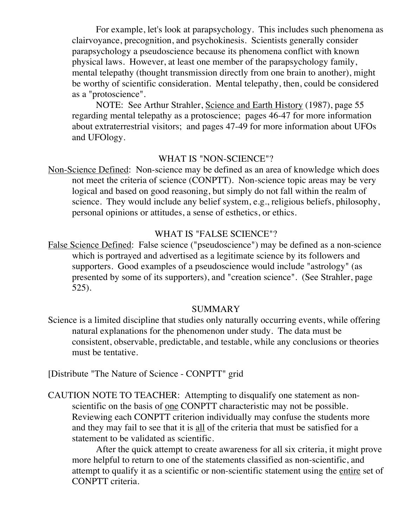For example, let's look at parapsychology. This includes such phenomena as clairvoyance, precognition, and psychokinesis. Scientists generally consider parapsychology a pseudoscience because its phenomena conflict with known physical laws. However, at least one member of the parapsychology family, mental telepathy (thought transmission directly from one brain to another), might be worthy of scientific consideration. Mental telepathy, then, could be considered as a "protoscience".

NOTE: See Arthur Strahler, Science and Earth History (1987), page 55 regarding mental telepathy as a protoscience; pages 46-47 for more information about extraterrestrial visitors; and pages 47-49 for more information about UFOs and UFOlogy.

### WHAT IS "NON-SCIENCE"?

Non-Science Defined: Non-science may be defined as an area of knowledge which does not meet the criteria of science (CONPTT). Non-science topic areas may be very logical and based on good reasoning, but simply do not fall within the realm of science. They would include any belief system, e.g., religious beliefs, philosophy, personal opinions or attitudes, a sense of esthetics, or ethics.

#### WHAT IS "FALSE SCIENCE"?

False Science Defined: False science ("pseudoscience") may be defined as a non-science which is portrayed and advertised as a legitimate science by its followers and supporters. Good examples of a pseudoscience would include "astrology" (as presented by some of its supporters), and "creation science". (See Strahler, page 525).

### SUMMARY

Science is a limited discipline that studies only naturally occurring events, while offering natural explanations for the phenomenon under study. The data must be consistent, observable, predictable, and testable, while any conclusions or theories must be tentative.

[Distribute "The Nature of Science - CONPTT" grid

CAUTION NOTE TO TEACHER: Attempting to disqualify one statement as nonscientific on the basis of one CONPTT characteristic may not be possible. Reviewing each CONPTT criterion individually may confuse the students more and they may fail to see that it is all of the criteria that must be satisfied for a statement to be validated as scientific.

After the quick attempt to create awareness for all six criteria, it might prove more helpful to return to one of the statements classified as non-scientific, and attempt to qualify it as a scientific or non-scientific statement using the entire set of CONPTT criteria.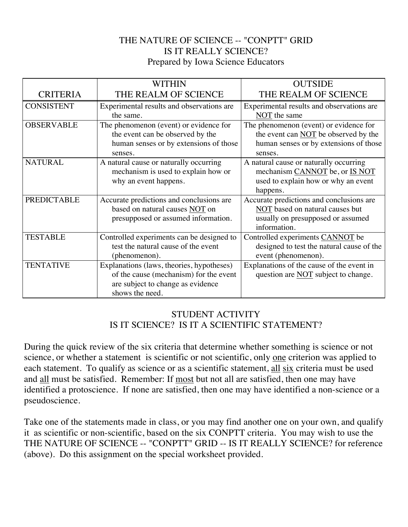## THE NATURE OF SCIENCE -- "CONPTT" GRID IS IT REALLY SCIENCE? Prepared by Iowa Science Educators

|                    | <b>WITHIN</b>                             | <b>OUTSIDE</b>                            |
|--------------------|-------------------------------------------|-------------------------------------------|
| <b>CRITERIA</b>    | THE REALM OF SCIENCE                      | THE REALM OF SCIENCE                      |
| <b>CONSISTENT</b>  | Experimental results and observations are | Experimental results and observations are |
|                    | the same.                                 | NOT the same                              |
| <b>OBSERVABLE</b>  | The phenomenon (event) or evidence for    | The phenomenon (event) or evidence for    |
|                    | the event can be observed by the          | the event can NOT be observed by the      |
|                    | human senses or by extensions of those    | human senses or by extensions of those    |
|                    | senses.                                   | senses.                                   |
| <b>NATURAL</b>     | A natural cause or naturally occurring    | A natural cause or naturally occurring    |
|                    | mechanism is used to explain how or       | mechanism CANNOT be, or IS NOT            |
|                    | why an event happens.                     | used to explain how or why an event       |
|                    |                                           | happens.                                  |
| <b>PREDICTABLE</b> | Accurate predictions and conclusions are  | Accurate predictions and conclusions are  |
|                    | based on natural causes NOT on            | NOT based on natural causes but           |
|                    | presupposed or assumed information.       | usually on presupposed or assumed         |
|                    |                                           | information.                              |
| <b>TESTABLE</b>    | Controlled experiments can be designed to | Controlled experiments CANNOT be          |
|                    | test the natural cause of the event       | designed to test the natural cause of the |
|                    | (phenomenon).                             | event (phenomenon).                       |
| <b>TENTATIVE</b>   | Explanations (laws, theories, hypotheses) | Explanations of the cause of the event in |
|                    | of the cause (mechanism) for the event    | question are NOT subject to change.       |
|                    | are subject to change as evidence         |                                           |
|                    | shows the need.                           |                                           |

## STUDENT ACTIVITY IS IT SCIENCE? IS IT A SCIENTIFIC STATEMENT?

During the quick review of the six criteria that determine whether something is science or not science, or whether a statement is scientific or not scientific, only one criterion was applied to each statement. To qualify as science or as a scientific statement, all six criteria must be used and all must be satisfied. Remember: If most but not all are satisfied, then one may have identified a protoscience. If none are satisfied, then one may have identified a non-science or a pseudoscience.

Take one of the statements made in class, or you may find another one on your own, and qualify it as scientific or non-scientific, based on the six CONPTT criteria. You may wish to use the THE NATURE OF SCIENCE -- "CONPTT" GRID -- IS IT REALLY SCIENCE? for reference (above). Do this assignment on the special worksheet provided.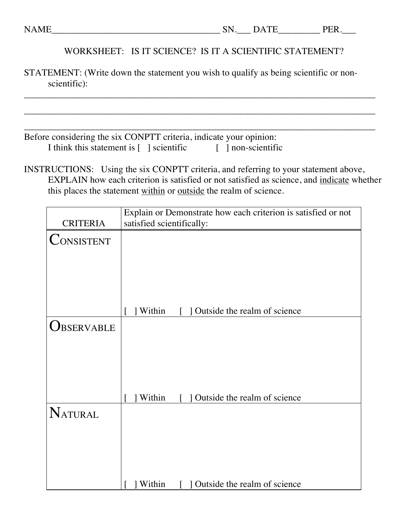### WORKSHEET: IS IT SCIENCE? IS IT A SCIENTIFIC STATEMENT?

STATEMENT: (Write down the statement you wish to qualify as being scientific or nonscientific):

\_\_\_\_\_\_\_\_\_\_\_\_\_\_\_\_\_\_\_\_\_\_\_\_\_\_\_\_\_\_\_\_\_\_\_\_\_\_\_\_\_\_\_\_\_\_\_\_\_\_\_\_\_\_\_\_\_\_\_\_\_\_\_\_\_\_\_\_\_\_\_\_\_\_\_

\_\_\_\_\_\_\_\_\_\_\_\_\_\_\_\_\_\_\_\_\_\_\_\_\_\_\_\_\_\_\_\_\_\_\_\_\_\_\_\_\_\_\_\_\_\_\_\_\_\_\_\_\_\_\_\_\_\_\_\_\_\_\_\_\_\_\_\_\_\_\_\_\_\_\_

| Before considering the six CONPTT criteria, indicate your opinion: |                    |  |
|--------------------------------------------------------------------|--------------------|--|
| I think this statement is [ ] scientific                           | [ ] non-scientific |  |

INSTRUCTIONS: Using the six CONPTT criteria, and referring to your statement above, EXPLAIN how each criterion is satisfied or not satisfied as science, and indicate whether this places the statement within or outside the realm of science.

|                   | Explain or Demonstrate how each criterion is satisfied or not |  |
|-------------------|---------------------------------------------------------------|--|
| <b>CRITERIA</b>   | satisfied scientifically:                                     |  |
| <b>CONSISTENT</b> |                                                               |  |
|                   |                                                               |  |
|                   |                                                               |  |
|                   |                                                               |  |
|                   |                                                               |  |
|                   | Within<br>Outside the realm of science                        |  |
|                   |                                                               |  |
| <b>JBSERVABLE</b> |                                                               |  |
|                   |                                                               |  |
|                   |                                                               |  |
|                   |                                                               |  |
|                   |                                                               |  |
|                   | Within<br>Outside the realm of science                        |  |
| NATURAL           |                                                               |  |
|                   |                                                               |  |
|                   |                                                               |  |
|                   |                                                               |  |
|                   |                                                               |  |
|                   | Outside the realm of science<br>Within                        |  |